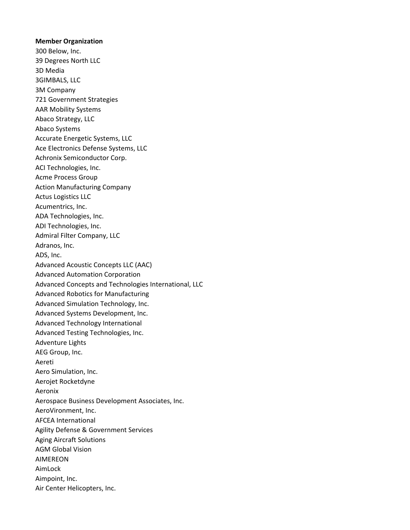## **Member Organization**

300 Below, Inc. 39 Degrees North LLC 3D Media 3GIMBALS, LLC 3M Company 721 Government Strategies AAR Mobility Systems Abaco Strategy, LLC Abaco Systems Accurate Energetic Systems, LLC Ace Electronics Defense Systems, LLC Achronix Semiconductor Corp. ACI Technologies, Inc. Acme Process Group Action Manufacturing Company Actus Logistics LLC Acumentrics, Inc. ADA Technologies, Inc. ADI Technologies, Inc. Admiral Filter Company, LLC Adranos, Inc. ADS, Inc. Advanced Acoustic Concepts LLC (AAC) Advanced Automation Corporation Advanced Concepts and Technologies International, LLC Advanced Robotics for Manufacturing Advanced Simulation Technology, Inc. Advanced Systems Development, Inc. Advanced Technology International Advanced Testing Technologies, Inc. Adventure Lights AEG Group, Inc. Aereti Aero Simulation, Inc. Aerojet Rocketdyne Aeronix Aerospace Business Development Associates, Inc. AeroVironment, Inc. AFCEA International Agility Defense & Government Services Aging Aircraft Solutions AGM Global Vision AIMEREON AimLock Aimpoint, Inc. Air Center Helicopters, Inc.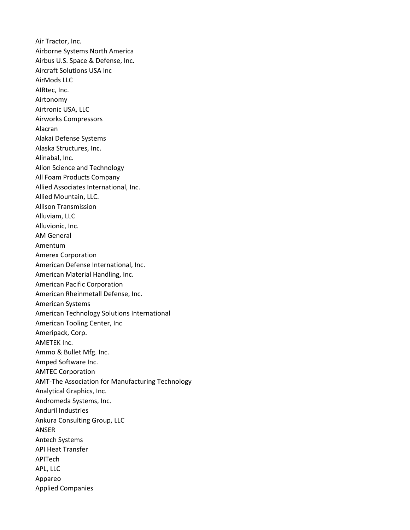Air Tractor, Inc. Airborne Systems North America Airbus U.S. Space & Defense, Inc. Aircraft Solutions USA Inc AirMods LLC AIRtec, Inc. Airtonomy Airtronic USA, LLC Airworks Compressors Alacran Alakai Defense Systems Alaska Structures, Inc. Alinabal, Inc. Alion Science and Technology All Foam Products Company Allied Associates International, Inc. Allied Mountain, LLC. Allison Transmission Alluviam, LLC Alluvionic, Inc. AM General Amentum Amerex Corporation American Defense International, Inc. American Material Handling, Inc. American Pacific Corporation American Rheinmetall Defense, Inc. American Systems American Technology Solutions International American Tooling Center, Inc Ameripack, Corp. AMETEK Inc. Ammo & Bullet Mfg. Inc. Amped Software Inc. AMTEC Corporation AMT-The Association for Manufacturing Technology Analytical Graphics, Inc. Andromeda Systems, Inc. Anduril Industries Ankura Consulting Group, LLC ANSER Antech Systems API Heat Transfer APITech APL, LLC Appareo Applied Companies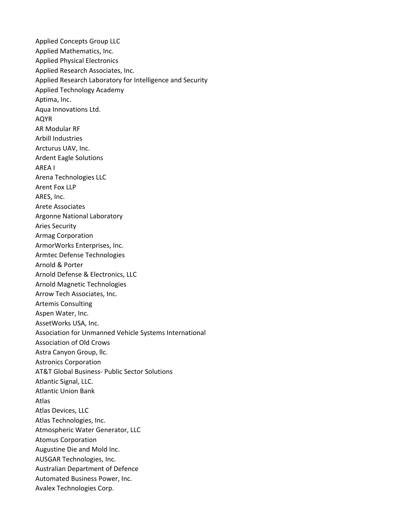Applied Concepts Group LLC Applied Mathematics, Inc. Applied Physical Electronics Applied Research Associates, Inc. Applied Research Laboratory for Intelligence and Security Applied Technology Academy Aptima, Inc. Aqua Innovations Ltd. AQYR AR Modular RF Arbill Industries Arcturus UAV, Inc. Ardent Eagle Solutions AREA I Arena Technologies LLC Arent Fox LLP ARES, Inc. Arete Associates Argonne National Laboratory Aries Security Armag Corporation ArmorWorks Enterprises, Inc. Armtec Defense Technologies Arnold & Porter Arnold Defense & Electronics, LLC Arnold Magnetic Technologies Arrow Tech Associates, Inc. Artemis Consulting Aspen Water, Inc. AssetWorks USA, Inc. Association for Unmanned Vehicle Systems International Association of Old Crows Astra Canyon Group, llc. Astronics Corporation AT&T Global Business- Public Sector Solutions Atlantic Signal, LLC. Atlantic Union Bank Atlas Atlas Devices, LLC Atlas Technologies, Inc. Atmospheric Water Generator, LLC Atomus Corporation Augustine Die and Mold Inc. AUSGAR Technologies, Inc. Australian Department of Defence Automated Business Power, Inc. Avalex Technologies Corp.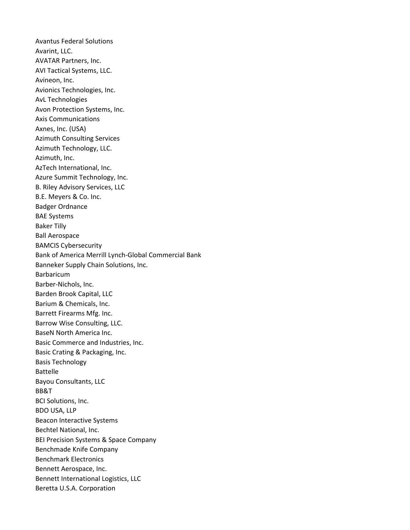Avantus Federal Solutions Avarint, LLC. AVATAR Partners, Inc. AVI Tactical Systems, LLC. Avineon, Inc. Avionics Technologies, Inc. AvL Technologies Avon Protection Systems, Inc. Axis Communications Axnes, Inc. (USA) Azimuth Consulting Services Azimuth Technology, LLC. Azimuth, Inc. AzTech International, Inc. Azure Summit Technology, Inc. B. Riley Advisory Services, LLC B.E. Meyers & Co. Inc. Badger Ordnance BAE Systems Baker Tilly Ball Aerospace BAMCIS Cybersecurity Bank of America Merrill Lynch-Global Commercial Bank Banneker Supply Chain Solutions, Inc. Barbaricum Barber-Nichols, Inc. Barden Brook Capital, LLC Barium & Chemicals, Inc. Barrett Firearms Mfg. Inc. Barrow Wise Consulting, LLC. BaseN North America Inc. Basic Commerce and Industries, Inc. Basic Crating & Packaging, Inc. Basis Technology Battelle Bayou Consultants, LLC BB&T BCI Solutions, Inc. BDO USA, LLP Beacon Interactive Systems Bechtel National, Inc. BEI Precision Systems & Space Company Benchmade Knife Company Benchmark Electronics Bennett Aerospace, Inc. Bennett International Logistics, LLC Beretta U.S.A. Corporation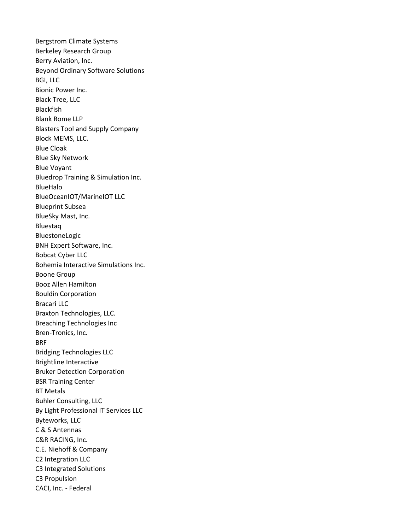Bergstrom Climate Systems Berkeley Research Group Berry Aviation, Inc. Beyond Ordinary Software Solutions BGI, LLC Bionic Power Inc. Black Tree, LLC Blackfish Blank Rome LLP Blasters Tool and Supply Company Block MEMS, LLC. Blue Cloak Blue Sky Network Blue Voyant Bluedrop Training & Simulation Inc. BlueHalo BlueOceanIOT/MarineIOT LLC Blueprint Subsea BlueSky Mast, Inc. Bluestaq BluestoneLogic BNH Expert Software, Inc. Bobcat Cyber LLC Bohemia Interactive Simulations Inc. Boone Group Booz Allen Hamilton Bouldin Corporation Bracari LLC Braxton Technologies, LLC. Breaching Technologies Inc Bren-Tronics, Inc. BRF Bridging Technologies LLC Brightline Interactive Bruker Detection Corporation BSR Training Center BT Metals Buhler Consulting, LLC By Light Professional IT Services LLC Byteworks, LLC C & S Antennas C&R RACING, Inc. C.E. Niehoff & Company C2 Integration LLC C3 Integrated Solutions C3 Propulsion CACI, Inc. - Federal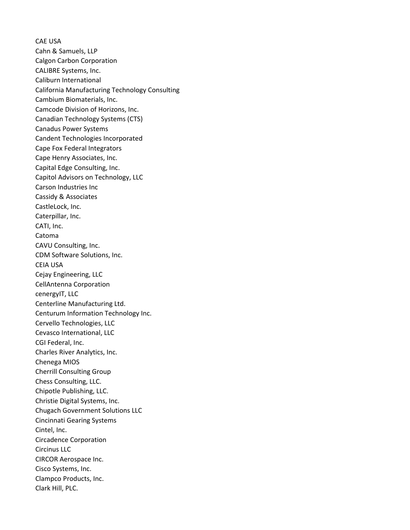CAE USA Cahn & Samuels, LLP Calgon Carbon Corporation CALIBRE Systems, Inc. Caliburn International California Manufacturing Technology Consulting Cambium Biomaterials, Inc. Camcode Division of Horizons, Inc. Canadian Technology Systems (CTS) Canadus Power Systems Candent Technologies Incorporated Cape Fox Federal Integrators Cape Henry Associates, Inc. Capital Edge Consulting, Inc. Capitol Advisors on Technology, LLC Carson Industries Inc Cassidy & Associates CastleLock, Inc. Caterpillar, Inc. CATI, Inc. Catoma CAVU Consulting, Inc. CDM Software Solutions, Inc. CEIA USA Cejay Engineering, LLC CellAntenna Corporation cenergyIT, LLC Centerline Manufacturing Ltd. Centurum Information Technology Inc. Cervello Technologies, LLC Cevasco International, LLC CGI Federal, Inc. Charles River Analytics, Inc. Chenega MIOS Cherrill Consulting Group Chess Consulting, LLC. Chipotle Publishing, LLC. Christie Digital Systems, Inc. Chugach Government Solutions LLC Cincinnati Gearing Systems Cintel, Inc. Circadence Corporation Circinus LLC CIRCOR Aerospace Inc. Cisco Systems, Inc. Clampco Products, Inc. Clark Hill, PLC.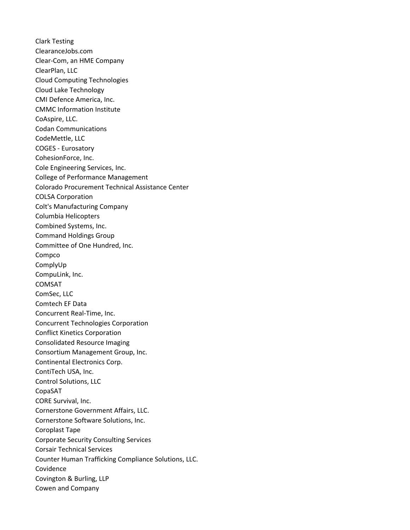Clark Testing ClearanceJobs.com Clear-Com, an HME Company ClearPlan, LLC Cloud Computing Technologies Cloud Lake Technology CMI Defence America, Inc. CMMC Information Institute CoAspire, LLC. Codan Communications CodeMettle, LLC COGES - Eurosatory CohesionForce, Inc. Cole Engineering Services, Inc. College of Performance Management Colorado Procurement Technical Assistance Center COLSA Corporation Colt's Manufacturing Company Columbia Helicopters Combined Systems, Inc. Command Holdings Group Committee of One Hundred, Inc. Compco ComplyUp CompuLink, Inc. COMSAT ComSec, LLC Comtech EF Data Concurrent Real-Time, Inc. Concurrent Technologies Corporation Conflict Kinetics Corporation Consolidated Resource Imaging Consortium Management Group, Inc. Continental Electronics Corp. ContiTech USA, Inc. Control Solutions, LLC CopaSAT CORE Survival, Inc. Cornerstone Government Affairs, LLC. Cornerstone Software Solutions, Inc. Coroplast Tape Corporate Security Consulting Services Corsair Technical Services Counter Human Trafficking Compliance Solutions, LLC. Covidence Covington & Burling, LLP Cowen and Company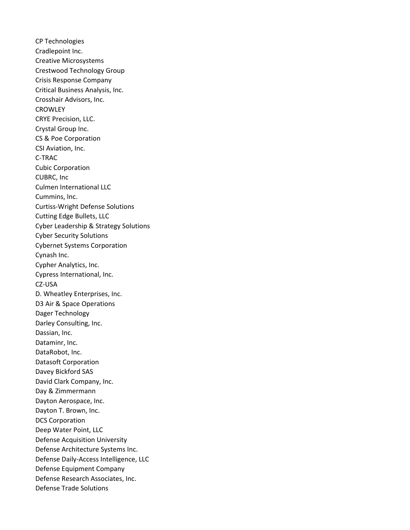CP Technologies Cradlepoint Inc. Creative Microsystems Crestwood Technology Group Crisis Response Company Critical Business Analysis, Inc. Crosshair Advisors, Inc. **CROWLEY** CRYE Precision, LLC. Crystal Group Inc. CS & Poe Corporation CSI Aviation, Inc. C-TRAC Cubic Corporation CUBRC, Inc Culmen International LLC Cummins, Inc. Curtiss-Wright Defense Solutions Cutting Edge Bullets, LLC Cyber Leadership & Strategy Solutions Cyber Security Solutions Cybernet Systems Corporation Cynash Inc. Cypher Analytics, Inc. Cypress International, Inc. CZ-USA D. Wheatley Enterprises, Inc. D3 Air & Space Operations Dager Technology Darley Consulting, Inc. Dassian, Inc. Dataminr, Inc. DataRobot, Inc. Datasoft Corporation Davey Bickford SAS David Clark Company, Inc. Day & Zimmermann Dayton Aerospace, Inc. Dayton T. Brown, Inc. DCS Corporation Deep Water Point, LLC Defense Acquisition University Defense Architecture Systems Inc. Defense Daily-Access Intelligence, LLC Defense Equipment Company Defense Research Associates, Inc. Defense Trade Solutions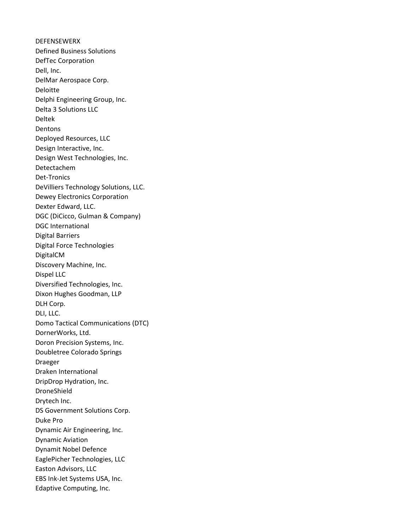DEFENSEWERX Defined Business Solutions DefTec Corporation Dell, Inc. DelMar Aerospace Corp. Deloitte Delphi Engineering Group, Inc. Delta 3 Solutions LLC Deltek **Dentons** Deployed Resources, LLC Design Interactive, Inc. Design West Technologies, Inc. Detectachem Det-Tronics DeVilliers Technology Solutions, LLC. Dewey Electronics Corporation Dexter Edward, LLC. DGC (DiCicco, Gulman & Company) DGC International Digital Barriers Digital Force Technologies DigitalCM Discovery Machine, Inc. Dispel LLC Diversified Technologies, Inc. Dixon Hughes Goodman, LLP DLH Corp. DLI, LLC. Domo Tactical Communications (DTC) DornerWorks, Ltd. Doron Precision Systems, Inc. Doubletree Colorado Springs Draeger Draken International DripDrop Hydration, Inc. DroneShield Drytech Inc. DS Government Solutions Corp. Duke Pro Dynamic Air Engineering, Inc. Dynamic Aviation Dynamit Nobel Defence EaglePicher Technologies, LLC Easton Advisors, LLC EBS Ink-Jet Systems USA, Inc. Edaptive Computing, Inc.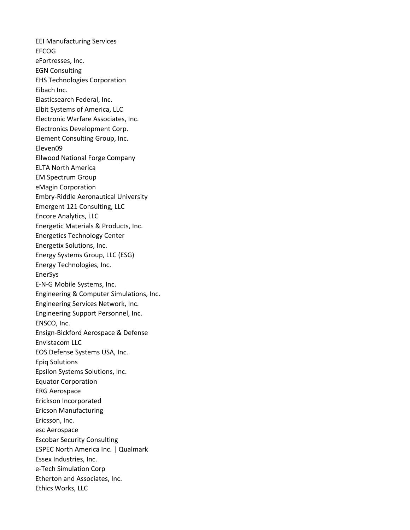EEI Manufacturing Services EFCOG eFortresses, Inc. EGN Consulting EHS Technologies Corporation Eibach Inc. Elasticsearch Federal, Inc. Elbit Systems of America, LLC Electronic Warfare Associates, Inc. Electronics Development Corp. Element Consulting Group, Inc. Eleven09 Ellwood National Forge Company ELTA North America EM Spectrum Group eMagin Corporation Embry-Riddle Aeronautical University Emergent 121 Consulting, LLC Encore Analytics, LLC Energetic Materials & Products, Inc. Energetics Technology Center Energetix Solutions, Inc. Energy Systems Group, LLC (ESG) Energy Technologies, Inc. EnerSys E-N-G Mobile Systems, Inc. Engineering & Computer Simulations, Inc. Engineering Services Network, Inc. Engineering Support Personnel, Inc. ENSCO, Inc. Ensign-Bickford Aerospace & Defense Envistacom LLC EOS Defense Systems USA, Inc. Epiq Solutions Epsilon Systems Solutions, Inc. Equator Corporation ERG Aerospace Erickson Incorporated Ericson Manufacturing Ericsson, Inc. esc Aerospace Escobar Security Consulting ESPEC North America Inc. | Qualmark Essex Industries, Inc. e-Tech Simulation Corp Etherton and Associates, Inc. Ethics Works, LLC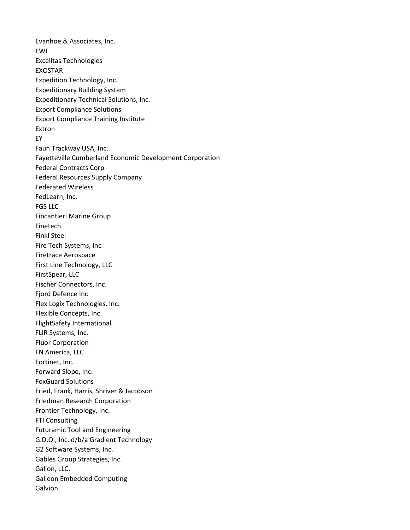Evanhoe & Associates, Inc. EWI Excelitas Technologies EXOSTAR Expedition Technology, Inc. Expeditionary Building System Expeditionary Technical Solutions, Inc. Export Compliance Solutions Export Compliance Training Institute Extron EY Faun Trackway USA, Inc. Fayetteville Cumberland Economic Development Corporation Federal Contracts Corp Federal Resources Supply Company Federated Wireless FedLearn, Inc. FGS LLC Fincantieri Marine Group Finetech Finkl Steel Fire Tech Systems, Inc Firetrace Aerospace First Line Technology, LLC FirstSpear, LLC Fischer Connectors, Inc. Fjord Defence Inc Flex Logix Technologies, Inc. Flexible Concepts, Inc. FlightSafety International FLIR Systems, Inc. Fluor Corporation FN America, LLC Fortinet, Inc. Forward Slope, Inc. FoxGuard Solutions Fried, Frank, Harris, Shriver & Jacobson Friedman Research Corporation Frontier Technology, Inc. FTI Consulting Futuramic Tool and Engineering G.D.O., Inc. d/b/a Gradient Technology G2 Software Systems, Inc. Gables Group Strategies, Inc. Galion, LLC. Galleon Embedded Computing Galvion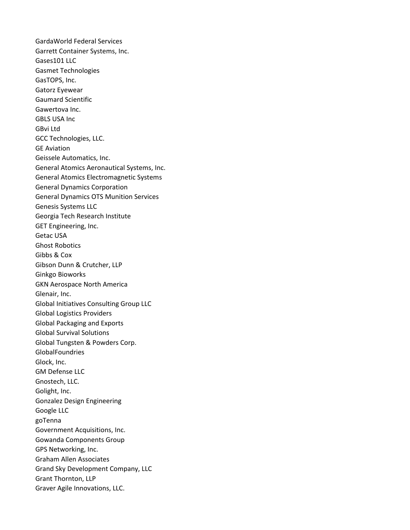GardaWorld Federal Services Garrett Container Systems, Inc. Gases101 LLC Gasmet Technologies GasTOPS, Inc. Gatorz Eyewear Gaumard Scientific Gawertova Inc. GBLS USA Inc GBvi Ltd GCC Technologies, LLC. GE Aviation Geissele Automatics, Inc. General Atomics Aeronautical Systems, Inc. General Atomics Electromagnetic Systems General Dynamics Corporation General Dynamics OTS Munition Services Genesis Systems LLC Georgia Tech Research Institute GET Engineering, Inc. Getac USA Ghost Robotics Gibbs & Cox Gibson Dunn & Crutcher, LLP Ginkgo Bioworks GKN Aerospace North America Glenair, Inc. Global Initiatives Consulting Group LLC Global Logistics Providers Global Packaging and Exports Global Survival Solutions Global Tungsten & Powders Corp. GlobalFoundries Glock, Inc. GM Defense LLC Gnostech, LLC. Golight, Inc. Gonzalez Design Engineering Google LLC goTenna Government Acquisitions, Inc. Gowanda Components Group GPS Networking, Inc. Graham Allen Associates Grand Sky Development Company, LLC Grant Thornton, LLP Graver Agile Innovations, LLC.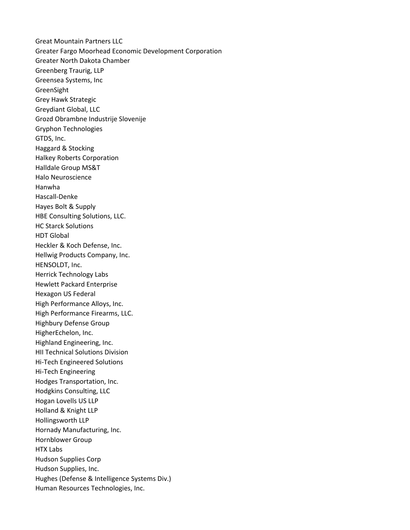Great Mountain Partners LLC Greater Fargo Moorhead Economic Development Corporation Greater North Dakota Chamber Greenberg Traurig, LLP Greensea Systems, Inc GreenSight Grey Hawk Strategic Greydiant Global, LLC Grozd Obrambne Industrije Slovenije Gryphon Technologies GTDS, Inc. Haggard & Stocking Halkey Roberts Corporation Halldale Group MS&T Halo Neuroscience Hanwha Hascall-Denke Hayes Bolt & Supply HBE Consulting Solutions, LLC. HC Starck Solutions HDT Global Heckler & Koch Defense, Inc. Hellwig Products Company, Inc. HENSOLDT, Inc. Herrick Technology Labs Hewlett Packard Enterprise Hexagon US Federal High Performance Alloys, Inc. High Performance Firearms, LLC. Highbury Defense Group HigherEchelon, Inc. Highland Engineering, Inc. HII Technical Solutions Division Hi-Tech Engineered Solutions Hi-Tech Engineering Hodges Transportation, Inc. Hodgkins Consulting, LLC Hogan Lovells US LLP Holland & Knight LLP Hollingsworth LLP Hornady Manufacturing, Inc. Hornblower Group HTX Labs Hudson Supplies Corp Hudson Supplies, Inc. Hughes (Defense & Intelligence Systems Div.) Human Resources Technologies, Inc.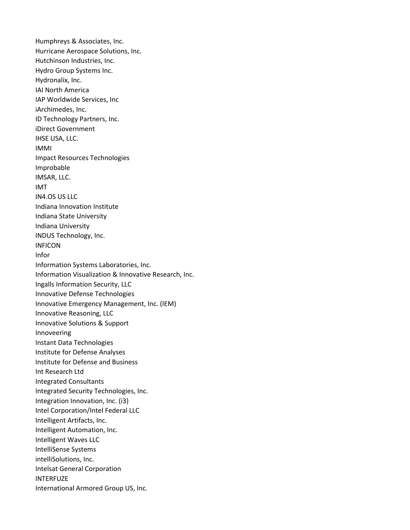Humphreys & Associates, Inc. Hurricane Aerospace Solutions, Inc. Hutchinson Industries, Inc. Hydro Group Systems Inc. Hydronalix, Inc. IAI North America IAP Worldwide Services, Inc iArchimedes, Inc. ID Technology Partners, Inc. iDirect Government IHSE USA, LLC. IMMI Impact Resources Technologies Improbable IMSAR, LLC. IMT IN4.OS US LLC Indiana Innovation Institute Indiana State University Indiana University INDUS Technology, Inc. INFICON Infor Information Systems Laboratories, Inc. Information Visualization & Innovative Research, Inc. Ingalls Information Security, LLC Innovative Defense Technologies Innovative Emergency Management, Inc. (IEM) Innovative Reasoning, LLC Innovative Solutions & Support Innoveering Instant Data Technologies Institute for Defense Analyses Institute for Defense and Business Int Research Ltd Integrated Consultants Integrated Security Technologies, Inc. Integration Innovation, Inc. (i3) Intel Corporation/Intel Federal LLC Intelligent Artifacts, Inc. Intelligent Automation, Inc. Intelligent Waves LLC IntelliSense Systems intelliSolutions, Inc. Intelsat General Corporation INTERFUZE International Armored Group US, Inc.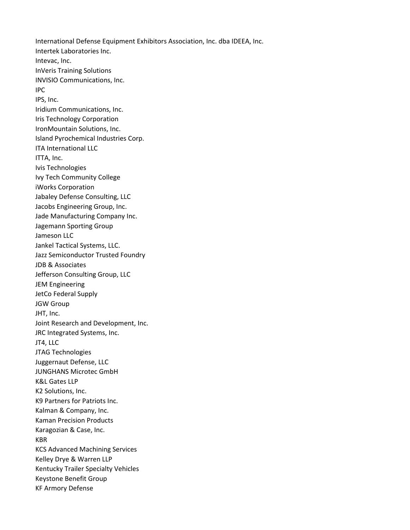International Defense Equipment Exhibitors Association, Inc. dba IDEEA, Inc. Intertek Laboratories Inc. Intevac, Inc. InVeris Training Solutions INVISIO Communications, Inc. IPC IPS, Inc. Iridium Communications, Inc. Iris Technology Corporation IronMountain Solutions, Inc. Island Pyrochemical Industries Corp. ITA International LLC ITTA, Inc. Ivis Technologies Ivy Tech Community College iWorks Corporation Jabaley Defense Consulting, LLC Jacobs Engineering Group, Inc. Jade Manufacturing Company Inc. Jagemann Sporting Group Jameson LLC Jankel Tactical Systems, LLC. Jazz Semiconductor Trusted Foundry JDB & Associates Jefferson Consulting Group, LLC JEM Engineering JetCo Federal Supply JGW Group JHT, Inc. Joint Research and Development, Inc. JRC Integrated Systems, Inc. JT4, LLC JTAG Technologies Juggernaut Defense, LLC JUNGHANS Microtec GmbH K&L Gates LLP K2 Solutions, Inc. K9 Partners for Patriots Inc. Kalman & Company, Inc. Kaman Precision Products Karagozian & Case, Inc. KBR KCS Advanced Machining Services Kelley Drye & Warren LLP Kentucky Trailer Specialty Vehicles Keystone Benefit Group KF Armory Defense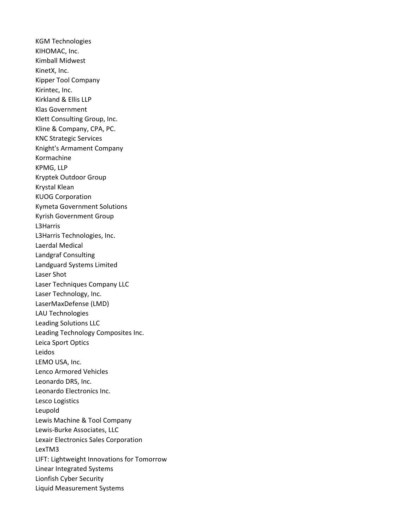KGM Technologies KIHOMAC, Inc. Kimball Midwest KinetX, Inc. Kipper Tool Company Kirintec, Inc. Kirkland & Ellis LLP Klas Government Klett Consulting Group, Inc. Kline & Company, CPA, PC. KNC Strategic Services Knight's Armament Company Kormachine KPMG, LLP Kryptek Outdoor Group Krystal Klean KUOG Corporation Kymeta Government Solutions Kyrish Government Group L3Harris L3Harris Technologies, Inc. Laerdal Medical Landgraf Consulting Landguard Systems Limited Laser Shot Laser Techniques Company LLC Laser Technology, Inc. LaserMaxDefense (LMD) LAU Technologies Leading Solutions LLC Leading Technology Composites Inc. Leica Sport Optics Leidos LEMO USA, Inc. Lenco Armored Vehicles Leonardo DRS, Inc. Leonardo Electronics Inc. Lesco Logistics Leupold Lewis Machine & Tool Company Lewis-Burke Associates, LLC Lexair Electronics Sales Corporation LexTM3 LIFT: Lightweight Innovations for Tomorrow Linear Integrated Systems Lionfish Cyber Security Liquid Measurement Systems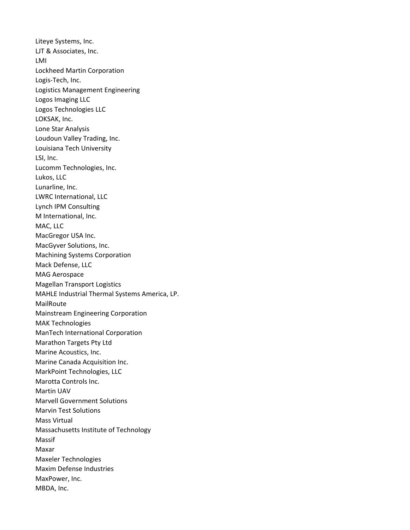Liteye Systems, Inc. LJT & Associates, Inc. LMI Lockheed Martin Corporation Logis-Tech, Inc. Logistics Management Engineering Logos Imaging LLC Logos Technologies LLC LOKSAK, Inc. Lone Star Analysis Loudoun Valley Trading, Inc. Louisiana Tech University LSI, Inc. Lucomm Technologies, Inc. Lukos, LLC Lunarline, Inc. LWRC International, LLC Lynch IPM Consulting M International, Inc. MAC, LLC MacGregor USA Inc. MacGyver Solutions, Inc. Machining Systems Corporation Mack Defense, LLC MAG Aerospace Magellan Transport Logistics MAHLE Industrial Thermal Systems America, LP. MailRoute Mainstream Engineering Corporation MAK Technologies ManTech International Corporation Marathon Targets Pty Ltd Marine Acoustics, Inc. Marine Canada Acquisition Inc. MarkPoint Technologies, LLC Marotta Controls Inc. Martin UAV Marvell Government Solutions Marvin Test Solutions Mass Virtual Massachusetts Institute of Technology Massif Maxar Maxeler Technologies Maxim Defense Industries MaxPower, Inc. MBDA, Inc.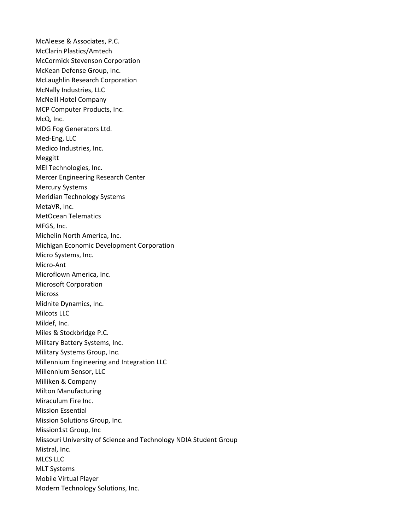McAleese & Associates, P.C. McClarin Plastics/Amtech McCormick Stevenson Corporation McKean Defense Group, Inc. McLaughlin Research Corporation McNally Industries, LLC McNeill Hotel Company MCP Computer Products, Inc. McQ, Inc. MDG Fog Generators Ltd. Med-Eng, LLC Medico Industries, Inc. Meggitt MEI Technologies, Inc. Mercer Engineering Research Center Mercury Systems Meridian Technology Systems MetaVR, Inc. MetOcean Telematics MFGS, Inc. Michelin North America, Inc. Michigan Economic Development Corporation Micro Systems, Inc. Micro-Ant Microflown America, Inc. Microsoft Corporation Micross Midnite Dynamics, Inc. Milcots LLC Mildef, Inc. Miles & Stockbridge P.C. Military Battery Systems, Inc. Military Systems Group, Inc. Millennium Engineering and Integration LLC Millennium Sensor, LLC Milliken & Company Milton Manufacturing Miraculum Fire Inc. Mission Essential Mission Solutions Group, Inc. Mission1st Group, Inc Missouri University of Science and Technology NDIA Student Group Mistral, Inc. MLCS LLC MLT Systems Mobile Virtual Player Modern Technology Solutions, Inc.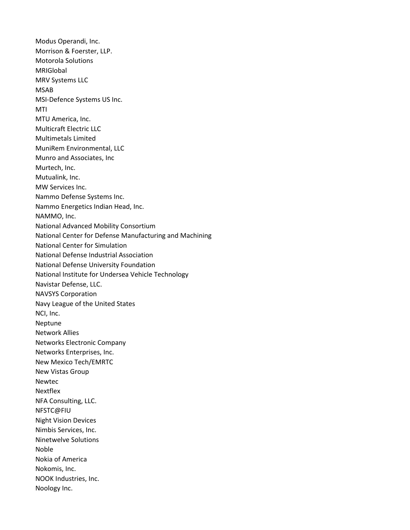Modus Operandi, Inc. Morrison & Foerster, LLP. Motorola Solutions MRIGlobal MRV Systems LLC MSAB MSI-Defence Systems US Inc. MTI MTU America, Inc. Multicraft Electric LLC Multimetals Limited MuniRem Environmental, LLC Munro and Associates, Inc Murtech, Inc. Mutualink, Inc. MW Services Inc. Nammo Defense Systems Inc. Nammo Energetics Indian Head, Inc. NAMMO, Inc. National Advanced Mobility Consortium National Center for Defense Manufacturing and Machining National Center for Simulation National Defense Industrial Association National Defense University Foundation National Institute for Undersea Vehicle Technology Navistar Defense, LLC. NAVSYS Corporation Navy League of the United States NCI, Inc. Neptune Network Allies Networks Electronic Company Networks Enterprises, Inc. New Mexico Tech/EMRTC New Vistas Group Newtec Nextflex NFA Consulting, LLC. NFSTC@FIU Night Vision Devices Nimbis Services, Inc. Ninetwelve Solutions Noble Nokia of America Nokomis, Inc. NOOK Industries, Inc. Noology Inc.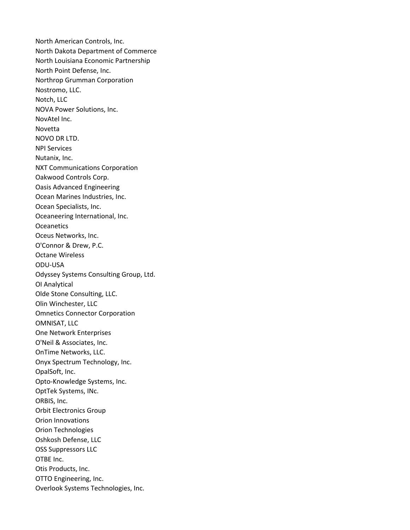North American Controls, Inc. North Dakota Department of Commerce North Louisiana Economic Partnership North Point Defense, Inc. Northrop Grumman Corporation Nostromo, LLC. Notch, LLC NOVA Power Solutions, Inc. NovAtel Inc. Novetta NOVO DR LTD. NPI Services Nutanix, Inc. NXT Communications Corporation Oakwood Controls Corp. Oasis Advanced Engineering Ocean Marines Industries, Inc. Ocean Specialists, Inc. Oceaneering International, Inc. **Oceanetics** Oceus Networks, Inc. O'Connor & Drew, P.C. Octane Wireless ODU-USA Odyssey Systems Consulting Group, Ltd. OI Analytical Olde Stone Consulting, LLC. Olin Winchester, LLC Omnetics Connector Corporation OMNISAT, LLC One Network Enterprises O'Neil & Associates, Inc. OnTime Networks, LLC. Onyx Spectrum Technology, Inc. OpalSoft, Inc. Opto-Knowledge Systems, Inc. OptTek Systems, INc. ORBIS, Inc. Orbit Electronics Group Orion Innovations Orion Technologies Oshkosh Defense, LLC OSS Suppressors LLC OTBE Inc. Otis Products, Inc. OTTO Engineering, Inc. Overlook Systems Technologies, Inc.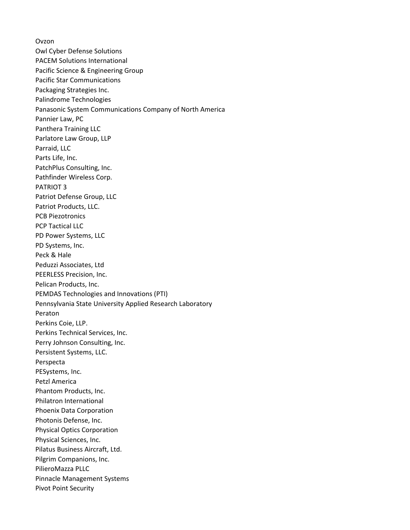Ovzon Owl Cyber Defense Solutions PACEM Solutions International Pacific Science & Engineering Group Pacific Star Communications Packaging Strategies Inc. Palindrome Technologies Panasonic System Communications Company of North America Pannier Law, PC Panthera Training LLC Parlatore Law Group, LLP Parraid, LLC Parts Life, Inc. PatchPlus Consulting, Inc. Pathfinder Wireless Corp. PATRIOT 3 Patriot Defense Group, LLC Patriot Products, LLC. PCB Piezotronics PCP Tactical LLC PD Power Systems, LLC PD Systems, Inc. Peck & Hale Peduzzi Associates, Ltd PEERLESS Precision, Inc. Pelican Products, Inc. PEMDAS Technologies and Innovations (PTI) Pennsylvania State University Applied Research Laboratory Peraton Perkins Coie, LLP. Perkins Technical Services, Inc. Perry Johnson Consulting, Inc. Persistent Systems, LLC. Perspecta PESystems, Inc. Petzl America Phantom Products, Inc. Philatron International Phoenix Data Corporation Photonis Defense, Inc. Physical Optics Corporation Physical Sciences, Inc. Pilatus Business Aircraft, Ltd. Pilgrim Companions, Inc. PilieroMazza PLLC Pinnacle Management Systems Pivot Point Security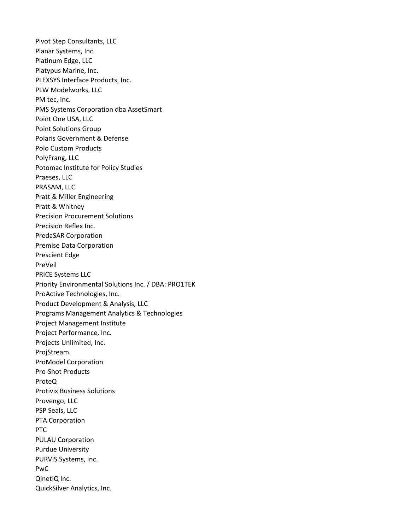Pivot Step Consultants, LLC Planar Systems, Inc. Platinum Edge, LLC Platypus Marine, Inc. PLEXSYS Interface Products, Inc. PLW Modelworks, LLC PM tec, Inc. PMS Systems Corporation dba AssetSmart Point One USA, LLC Point Solutions Group Polaris Government & Defense Polo Custom Products PolyFrang, LLC Potomac Institute for Policy Studies Praeses, LLC PRASAM, LLC Pratt & Miller Engineering Pratt & Whitney Precision Procurement Solutions Precision Reflex Inc. PredaSAR Corporation Premise Data Corporation Prescient Edge PreVeil PRICE Systems LLC Priority Environmental Solutions Inc. / DBA: PRO1TEK ProActive Technologies, Inc. Product Development & Analysis, LLC Programs Management Analytics & Technologies Project Management Institute Project Performance, Inc. Projects Unlimited, Inc. ProjStream ProModel Corporation Pro-Shot Products ProteQ Protivix Business Solutions Provengo, LLC PSP Seals, LLC PTA Corporation PTC PULAU Corporation Purdue University PURVIS Systems, Inc. PwC QinetiQ Inc. QuickSilver Analytics, Inc.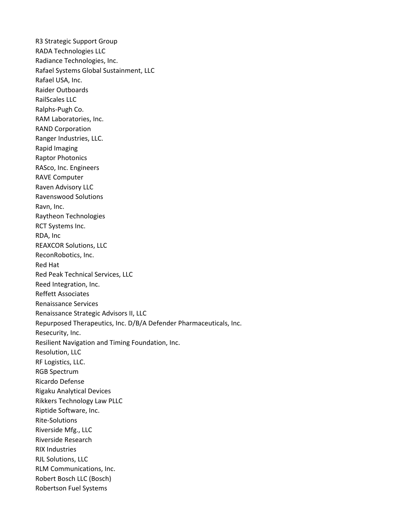R3 Strategic Support Group RADA Technologies LLC Radiance Technologies, Inc. Rafael Systems Global Sustainment, LLC Rafael USA, Inc. Raider Outboards RailScales LLC Ralphs-Pugh Co. RAM Laboratories, Inc. RAND Corporation Ranger Industries, LLC. Rapid Imaging Raptor Photonics RASco, Inc. Engineers RAVE Computer Raven Advisory LLC Ravenswood Solutions Ravn, Inc. Raytheon Technologies RCT Systems Inc. RDA, Inc REAXCOR Solutions, LLC ReconRobotics, Inc. Red Hat Red Peak Technical Services, LLC Reed Integration, Inc. Reffett Associates Renaissance Services Renaissance Strategic Advisors II, LLC Repurposed Therapeutics, Inc. D/B/A Defender Pharmaceuticals, Inc. Resecurity, Inc. Resilient Navigation and Timing Foundation, Inc. Resolution, LLC RF Logistics, LLC. RGB Spectrum Ricardo Defense Rigaku Analytical Devices Rikkers Technology Law PLLC Riptide Software, Inc. Rite-Solutions Riverside Mfg., LLC Riverside Research RIX Industries RJL Solutions, LLC RLM Communications, Inc. Robert Bosch LLC (Bosch) Robertson Fuel Systems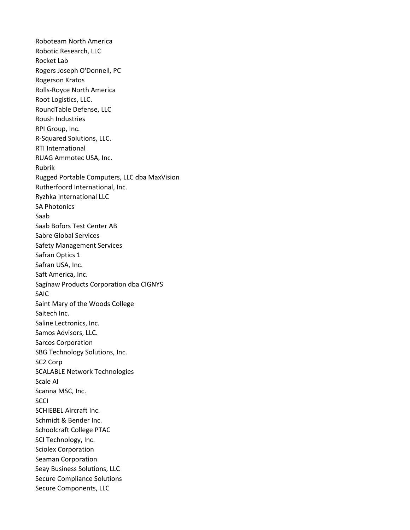Roboteam North America Robotic Research, LLC Rocket Lab Rogers Joseph O'Donnell, PC Rogerson Kratos Rolls-Royce North America Root Logistics, LLC. RoundTable Defense, LLC Roush Industries RPI Group, Inc. R-Squared Solutions, LLC. RTI International RUAG Ammotec USA, Inc. Rubrik Rugged Portable Computers, LLC dba MaxVision Rutherfoord International, Inc. Ryzhka International LLC SA Photonics Saab Saab Bofors Test Center AB Sabre Global Services Safety Management Services Safran Optics 1 Safran USA, Inc. Saft America, Inc. Saginaw Products Corporation dba CIGNYS SAIC Saint Mary of the Woods College Saitech Inc. Saline Lectronics, Inc. Samos Advisors, LLC. Sarcos Corporation SBG Technology Solutions, Inc. SC2 Corp SCALABLE Network Technologies Scale AI Scanna MSC, Inc. **SCCI** SCHIEBEL Aircraft Inc. Schmidt & Bender Inc. Schoolcraft College PTAC SCI Technology, Inc. Sciolex Corporation Seaman Corporation Seay Business Solutions, LLC Secure Compliance Solutions Secure Components, LLC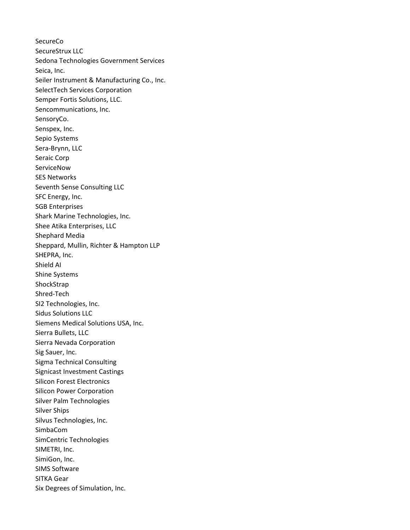**SecureCo** SecureStrux LLC Sedona Technologies Government Services Seica, Inc. Seiler Instrument & Manufacturing Co., Inc. SelectTech Services Corporation Semper Fortis Solutions, LLC. Sencommunications, Inc. SensoryCo. Senspex, Inc. Sepio Systems Sera-Brynn, LLC Seraic Corp **ServiceNow** SES Networks Seventh Sense Consulting LLC SFC Energy, Inc. SGB Enterprises Shark Marine Technologies, Inc. Shee Atika Enterprises, LLC Shephard Media Sheppard, Mullin, Richter & Hampton LLP SHEPRA, Inc. Shield AI Shine Systems ShockStrap Shred-Tech SI2 Technologies, Inc. Sidus Solutions LLC Siemens Medical Solutions USA, Inc. Sierra Bullets, LLC Sierra Nevada Corporation Sig Sauer, Inc. Sigma Technical Consulting Signicast Investment Castings Silicon Forest Electronics Silicon Power Corporation Silver Palm Technologies Silver Ships Silvus Technologies, Inc. SimbaCom SimCentric Technologies SIMETRI, Inc. SimiGon, Inc. SIMS Software SITKA Gear Six Degrees of Simulation, Inc.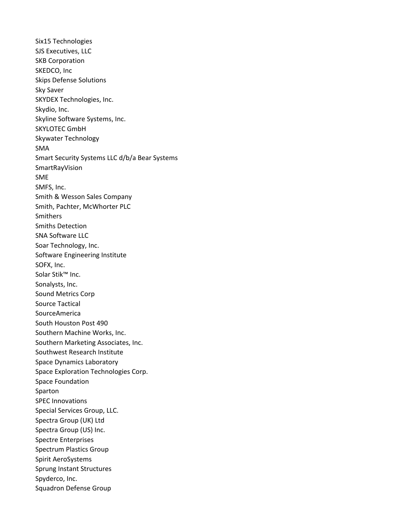Six15 Technologies SJS Executives, LLC SKB Corporation SKEDCO, Inc Skips Defense Solutions Sky Saver SKYDEX Technologies, Inc. Skydio, Inc. Skyline Software Systems, Inc. SKYLOTEC GmbH Skywater Technology SMA Smart Security Systems LLC d/b/a Bear Systems SmartRayVision SME SMFS, Inc. Smith & Wesson Sales Company Smith, Pachter, McWhorter PLC Smithers Smiths Detection SNA Software LLC Soar Technology, Inc. Software Engineering Institute SOFX, Inc. Solar Stik™ Inc. Sonalysts, Inc. Sound Metrics Corp Source Tactical SourceAmerica South Houston Post 490 Southern Machine Works, Inc. Southern Marketing Associates, Inc. Southwest Research Institute Space Dynamics Laboratory Space Exploration Technologies Corp. Space Foundation Sparton SPEC Innovations Special Services Group, LLC. Spectra Group (UK) Ltd Spectra Group (US) Inc. Spectre Enterprises Spectrum Plastics Group Spirit AeroSystems Sprung Instant Structures Spyderco, Inc. Squadron Defense Group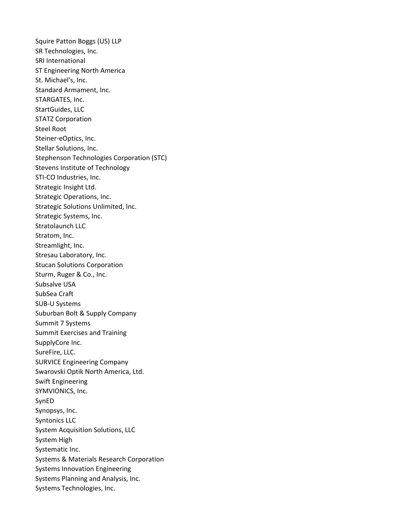Squire Patton Boggs (US) LLP SR Technologies, Inc. SRI International ST Engineering North America St. Michael's, Inc. Standard Armament, Inc. STARGATES, Inc. StartGuides, LLC STATZ Corporation Steel Root Steiner-eOptics, Inc. Stellar Solutions, Inc. Stephenson Technologies Corporation (STC) Stevens Institute of Technology STI-CO Industries, Inc. Strategic Insight Ltd. Strategic Operations, Inc. Strategic Solutions Unlimited, Inc. Strategic Systems, Inc. Stratolaunch LLC Stratom, Inc. Streamlight, Inc. Stresau Laboratory, Inc. Stucan Solutions Corporation Sturm, Ruger & Co., Inc. Subsalve USA SubSea Craft SUB-U Systems Suburban Bolt & Supply Company Summit 7 Systems Summit Exercises and Training SupplyCore Inc. SureFire, LLC. SURVICE Engineering Company Swarovski Optik North America, Ltd. Swift Engineering SYMVIONICS, Inc. SynED Synopsys, Inc. Syntonics LLC System Acquisition Solutions, LLC System High Systematic Inc. Systems & Materials Research Corporation Systems Innovation Engineering Systems Planning and Analysis, Inc. Systems Technologies, Inc.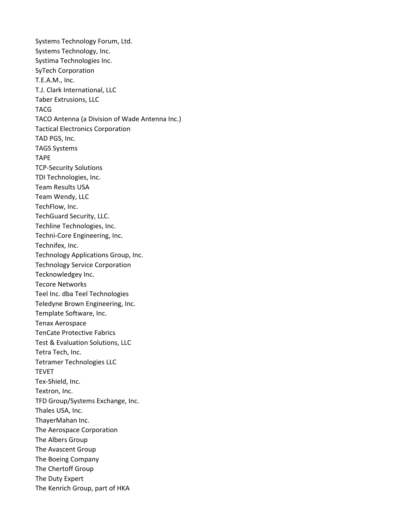Systems Technology Forum, Ltd. Systems Technology, Inc. Systima Technologies Inc. SyTech Corporation T.E.A.M., Inc. T.J. Clark International, LLC Taber Extrusions, LLC TACG TACO Antenna (a Division of Wade Antenna Inc.) Tactical Electronics Corporation TAD PGS, Inc. TAGS Systems TAPE TCP-Security Solutions TDI Technologies, Inc. Team Results USA Team Wendy, LLC TechFlow, Inc. TechGuard Security, LLC. Techline Technologies, Inc. Techni-Core Engineering, Inc. Technifex, Inc. Technology Applications Group, Inc. Technology Service Corporation Tecknowledgey Inc. Tecore Networks Teel Inc. dba Teel Technologies Teledyne Brown Engineering, Inc. Template Software, Inc. Tenax Aerospace TenCate Protective Fabrics Test & Evaluation Solutions, LLC Tetra Tech, Inc. Tetramer Technologies LLC TEVET Tex-Shield, Inc. Textron, Inc. TFD Group/Systems Exchange, Inc. Thales USA, Inc. ThayerMahan Inc. The Aerospace Corporation The Albers Group The Avascent Group The Boeing Company The Chertoff Group The Duty Expert The Kenrich Group, part of HKA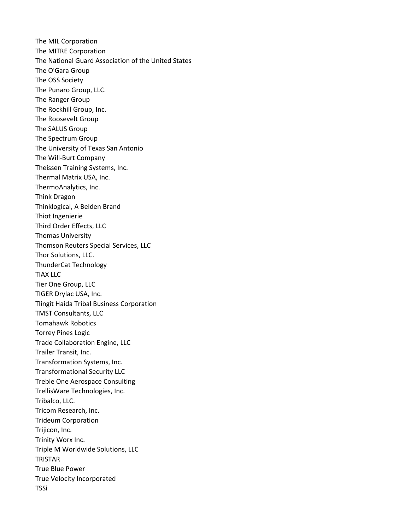The MIL Corporation The MITRE Corporation The National Guard Association of the United States The O'Gara Group The OSS Society The Punaro Group, LLC. The Ranger Group The Rockhill Group, Inc. The Roosevelt Group The SALUS Group The Spectrum Group The University of Texas San Antonio The Will-Burt Company Theissen Training Systems, Inc. Thermal Matrix USA, Inc. ThermoAnalytics, Inc. Think Dragon Thinklogical, A Belden Brand Thiot Ingenierie Third Order Effects, LLC Thomas University Thomson Reuters Special Services, LLC Thor Solutions, LLC. ThunderCat Technology TIAX LLC Tier One Group, LLC TIGER Drylac USA, Inc. Tlingit Haida Tribal Business Corporation TMST Consultants, LLC Tomahawk Robotics Torrey Pines Logic Trade Collaboration Engine, LLC Trailer Transit, Inc. Transformation Systems, Inc. Transformational Security LLC Treble One Aerospace Consulting TrellisWare Technologies, Inc. Tribalco, LLC. Tricom Research, Inc. Trideum Corporation Trijicon, Inc. Trinity Worx Inc. Triple M Worldwide Solutions, LLC TRISTAR True Blue Power True Velocity Incorporated TSSi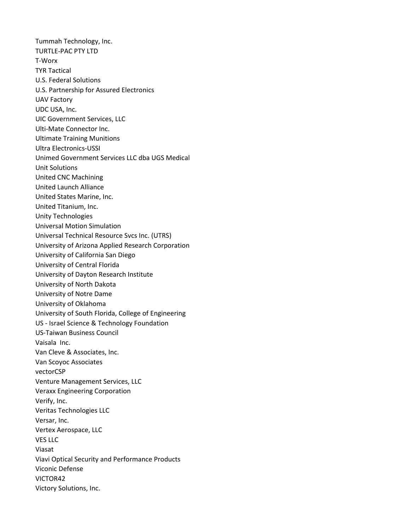Tummah Technology, Inc. TURTLE-PAC PTY LTD T-Worx TYR Tactical U.S. Federal Solutions U.S. Partnership for Assured Electronics UAV Factory UDC USA, Inc. UIC Government Services, LLC Ulti-Mate Connector Inc. Ultimate Training Munitions Ultra Electronics-USSI Unimed Government Services LLC dba UGS Medical Unit Solutions United CNC Machining United Launch Alliance United States Marine, Inc. United Titanium, Inc. Unity Technologies Universal Motion Simulation Universal Technical Resource Svcs Inc. (UTRS) University of Arizona Applied Research Corporation University of California San Diego University of Central Florida University of Dayton Research Institute University of North Dakota University of Notre Dame University of Oklahoma University of South Florida, College of Engineering US - Israel Science & Technology Foundation US-Taiwan Business Council Vaisala Inc. Van Cleve & Associates, Inc. Van Scoyoc Associates vectorCSP Venture Management Services, LLC Veraxx Engineering Corporation Verify, Inc. Veritas Technologies LLC Versar, Inc. Vertex Aerospace, LLC VES LLC Viasat Viavi Optical Security and Performance Products Viconic Defense VICTOR42 Victory Solutions, Inc.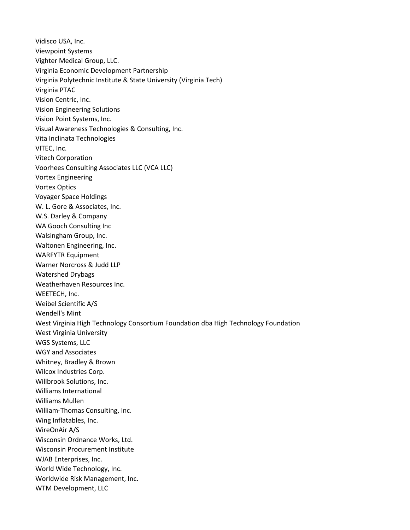Vidisco USA, Inc. Viewpoint Systems Vighter Medical Group, LLC. Virginia Economic Development Partnership Virginia Polytechnic Institute & State University (Virginia Tech) Virginia PTAC Vision Centric, Inc. Vision Engineering Solutions Vision Point Systems, Inc. Visual Awareness Technologies & Consulting, Inc. Vita Inclinata Technologies VITEC, Inc. Vitech Corporation Voorhees Consulting Associates LLC (VCA LLC) Vortex Engineering Vortex Optics Voyager Space Holdings W. L. Gore & Associates, Inc. W.S. Darley & Company WA Gooch Consulting Inc Walsingham Group, Inc. Waltonen Engineering, Inc. WARFYTR Equipment Warner Norcross & Judd LLP Watershed Drybags Weatherhaven Resources Inc. WEETECH, Inc. Weibel Scientific A/S Wendell's Mint West Virginia High Technology Consortium Foundation dba High Technology Foundation West Virginia University WGS Systems, LLC WGY and Associates Whitney, Bradley & Brown Wilcox Industries Corp. Willbrook Solutions, Inc. Williams International Williams Mullen William-Thomas Consulting, Inc. Wing Inflatables, Inc. WireOnAir A/S Wisconsin Ordnance Works, Ltd. Wisconsin Procurement Institute WJAB Enterprises, Inc. World Wide Technology, Inc. Worldwide Risk Management, Inc. WTM Development, LLC